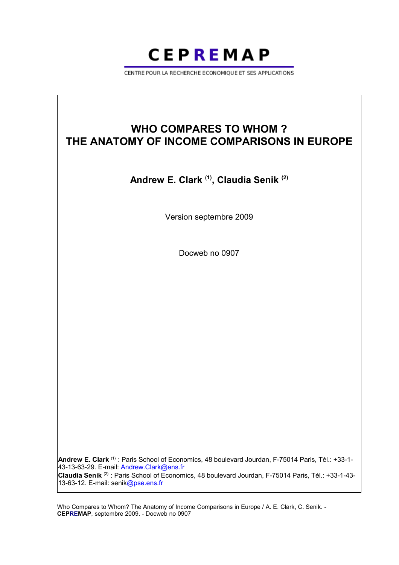

CENTRE POUR LA RECHERCHE ECONOMIOUE ET SES APPLICATIONS

# **WHO COMPARES TO WHOM ? THE ANATOMY OF INCOME COMPARISONS IN EUROPE**

# **Andrew E. Clark (1), Claudia Senik (2)**

Version septembre 2009

Docweb no 0907

**Andrew E. Clark** (1) : Paris School of Economics, 48 boulevard Jourdan, F-75014 Paris, Tél.: +33-1- 43-13-63-29. E-mail: Andrew.Clark@ens.fr **Claudia Senik** (2) : Paris School of Economics, 48 boulevard Jourdan, F-75014 Paris, Tél.: +33-1-43- 13-63-12. E-mail: senik@pse.ens.fr

Who Compares to Whom? The Anatomy of Income Comparisons in Europe / A. E. Clark, C. Senik. - **CEPREMAP**, septembre 2009. - Docweb no 0907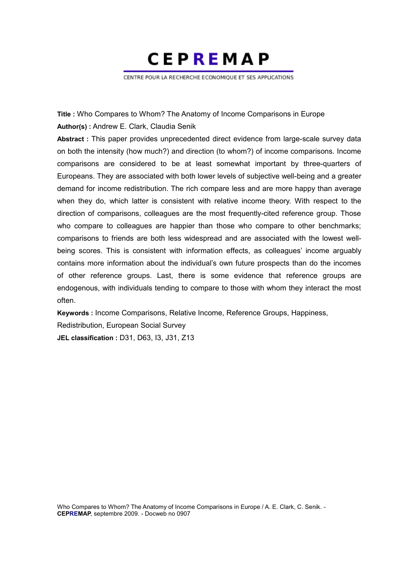**CEPREMAP** 

CENTRE POUR LA RECHERCHE ECONOMIOUE ET SES APPLICATIONS

**Title :** Who Compares to Whom? The Anatomy of Income Comparisons in Europe **Author(s) :** Andrew E. Clark, Claudia Senik

**Abstract :** This paper provides unprecedented direct evidence from large-scale survey data on both the intensity (how much?) and direction (to whom?) of income comparisons. Income comparisons are considered to be at least somewhat important by three-quarters of Europeans. They are associated with both lower levels of subjective well-being and a greater demand for income redistribution. The rich compare less and are more happy than average when they do, which latter is consistent with relative income theory. With respect to the direction of comparisons, colleagues are the most frequently-cited reference group. Those who compare to colleagues are happier than those who compare to other benchmarks; comparisons to friends are both less widespread and are associated with the lowest wellbeing scores. This is consistent with information effects, as colleagues' income arguably contains more information about the individual's own future prospects than do the incomes of other reference groups. Last, there is some evidence that reference groups are endogenous, with individuals tending to compare to those with whom they interact the most often.

**Keywords :** Income Comparisons, Relative Income, Reference Groups, Happiness, Redistribution, European Social Survey **JEL classification :** D31, D63, I3, J31, Z13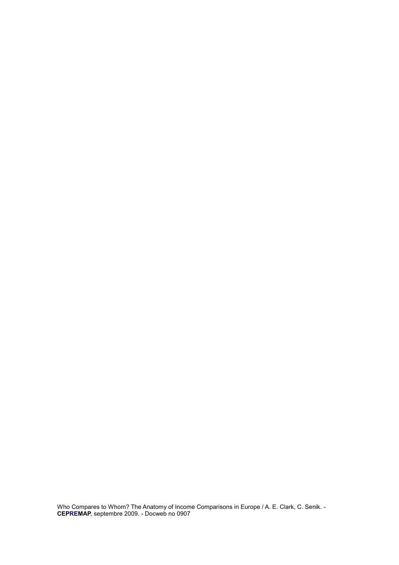Who Compares to Whom? The Anatomy of Income Comparisons in Europe / A. E. Clark, C. Senik. - **CEPREMAP**, septembre 2009. - Docweb no 0907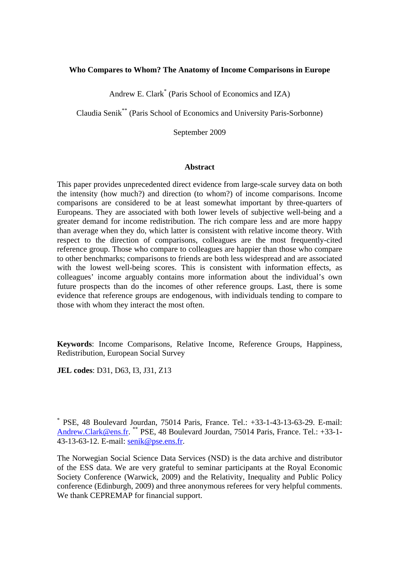# **Who Compares to Whom? The Anatomy of Income Comparisons in Europe**

Andrew E. Clark\* (Paris School of Economics and IZA)

Claudia Senik\*\* (Paris School of Economics and University Paris-Sorbonne)

September 2009

#### **Abstract**

This paper provides unprecedented direct evidence from large-scale survey data on both the intensity (how much?) and direction (to whom?) of income comparisons. Income comparisons are considered to be at least somewhat important by three-quarters of Europeans. They are associated with both lower levels of subjective well-being and a greater demand for income redistribution. The rich compare less and are more happy than average when they do, which latter is consistent with relative income theory. With respect to the direction of comparisons, colleagues are the most frequently-cited reference group. Those who compare to colleagues are happier than those who compare to other benchmarks; comparisons to friends are both less widespread and are associated with the lowest well-being scores. This is consistent with information effects, as colleagues' income arguably contains more information about the individual's own future prospects than do the incomes of other reference groups. Last, there is some evidence that reference groups are endogenous, with individuals tending to compare to those with whom they interact the most often.

**Keywords**: Income Comparisons, Relative Income, Reference Groups, Happiness, Redistribution, European Social Survey

**JEL codes**: D31, D63, I3, J31, Z13

\* PSE, 48 Boulevard Jourdan, 75014 Paris, France. Tel.: +33-1-43-13-63-29. E-mail: [Andrew.Clark@ens.fr](mailto:Andrew.Clark@ens.fr). \*\* PSE, 48 Boulevard Jourdan, 75014 Paris, France. Tel.: +33-1- 43-13-63-12. E-mail: senik@pse.ens.fr.

The Norwegian Social Science Data Services (NSD) is the data archive and distributor of the ESS data. We are very grateful to seminar participants at the Royal Economic Society Conference (Warwick, 2009) and the Relativity, Inequality and Public Policy conference (Edinburgh, 2009) and three anonymous referees for very helpful comments. We thank CEPREMAP for financial support.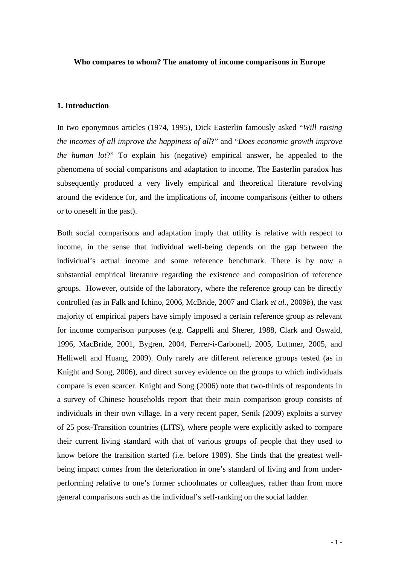#### **Who compares to whom? The anatomy of income comparisons in Europe**

#### **1. Introduction**

In two eponymous articles (1974, 1995), Dick Easterlin famously asked "*Will raising the incomes of all improve the happiness of all*?" and "*Does economic growth improve the human lot*?" To explain his (negative) empirical answer, he appealed to the phenomena of social comparisons and adaptation to income. The Easterlin paradox has subsequently produced a very lively empirical and theoretical literature revolving around the evidence for, and the implications of, income comparisons (either to others or to oneself in the past).

Both social comparisons and adaptation imply that utility is relative with respect to income, in the sense that individual well-being depends on the gap between the individual's actual income and some reference benchmark. There is by now a substantial empirical literature regarding the existence and composition of reference groups. However, outside of the laboratory, where the reference group can be directly controlled (as in Falk and Ichino, 2006, McBride, 2007 and Clark *et al.*, 2009*b*), the vast majority of empirical papers have simply imposed a certain reference group as relevant for income comparison purposes (e.g. Cappelli and Sherer, 1988, Clark and Oswald, 1996, MacBride, 2001, Bygren, 2004, Ferrer-i-Carbonell, 2005, Luttmer, 2005, and Helliwell and Huang, 2009). Only rarely are different reference groups tested (as in Knight and Song, 2006), and direct survey evidence on the groups to which individuals compare is even scarcer. Knight and Song (2006) note that two-thirds of respondents in a survey of Chinese households report that their main comparison group consists of individuals in their own village. In a very recent paper, Senik (2009) exploits a survey of 25 post-Transition countries (LITS), where people were explicitly asked to compare their current living standard with that of various groups of people that they used to know before the transition started (i.e. before 1989). She finds that the greatest wellbeing impact comes from the deterioration in one's standard of living and from underperforming relative to one's former schoolmates or colleagues, rather than from more general comparisons such as the individual's self-ranking on the social ladder.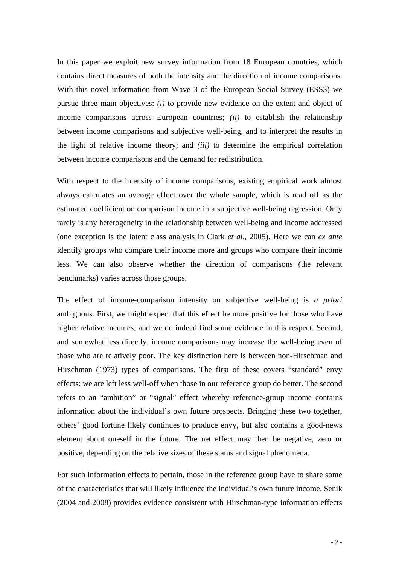In this paper we exploit new survey information from 18 European countries, which contains direct measures of both the intensity and the direction of income comparisons. With this novel information from Wave 3 of the European Social Survey (ESS3) we pursue three main objectives: *(i)* to provide new evidence on the extent and object of income comparisons across European countries; *(ii)* to establish the relationship between income comparisons and subjective well-being, and to interpret the results in the light of relative income theory; and *(iii)* to determine the empirical correlation between income comparisons and the demand for redistribution.

With respect to the intensity of income comparisons, existing empirical work almost always calculates an average effect over the whole sample, which is read off as the estimated coefficient on comparison income in a subjective well-being regression. Only rarely is any heterogeneity in the relationship between well-being and income addressed (one exception is the latent class analysis in Clark *et al*., 2005). Here we can *ex ante* identify groups who compare their income more and groups who compare their income less. We can also observe whether the direction of comparisons (the relevant benchmarks) varies across those groups.

The effect of income-comparison intensity on subjective well-being is *a priori* ambiguous. First, we might expect that this effect be more positive for those who have higher relative incomes, and we do indeed find some evidence in this respect. Second, and somewhat less directly, income comparisons may increase the well-being even of those who are relatively poor. The key distinction here is between non-Hirschman and Hirschman (1973) types of comparisons. The first of these covers "standard" envy effects: we are left less well-off when those in our reference group do better. The second refers to an "ambition" or "signal" effect whereby reference-group income contains information about the individual's own future prospects. Bringing these two together, others' good fortune likely continues to produce envy, but also contains a good-news element about oneself in the future. The net effect may then be negative, zero or positive, depending on the relative sizes of these status and signal phenomena.

For such information effects to pertain, those in the reference group have to share some of the characteristics that will likely influence the individual's own future income. Senik (2004 and 2008) provides evidence consistent with Hirschman-type information effects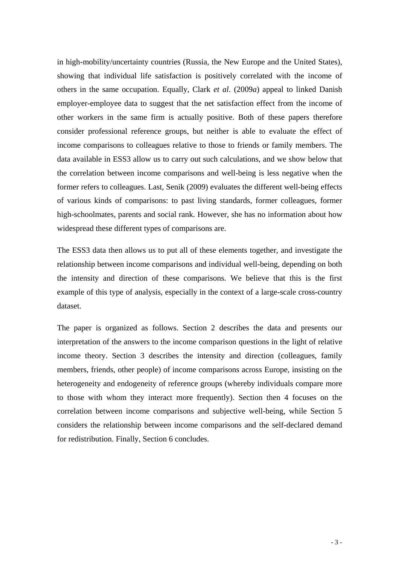in high-mobility/uncertainty countries (Russia, the New Europe and the United States), showing that individual life satisfaction is positively correlated with the income of others in the same occupation. Equally, Clark *et al*. (2009*a*) appeal to linked Danish employer-employee data to suggest that the net satisfaction effect from the income of other workers in the same firm is actually positive. Both of these papers therefore consider professional reference groups, but neither is able to evaluate the effect of income comparisons to colleagues relative to those to friends or family members. The data available in ESS3 allow us to carry out such calculations, and we show below that the correlation between income comparisons and well-being is less negative when the former refers to colleagues. Last, Senik (2009) evaluates the different well-being effects of various kinds of comparisons: to past living standards, former colleagues, former high-schoolmates, parents and social rank. However, she has no information about how widespread these different types of comparisons are.

The ESS3 data then allows us to put all of these elements together, and investigate the relationship between income comparisons and individual well-being, depending on both the intensity and direction of these comparisons. We believe that this is the first example of this type of analysis, especially in the context of a large-scale cross-country dataset.

The paper is organized as follows. Section 2 describes the data and presents our interpretation of the answers to the income comparison questions in the light of relative income theory. Section 3 describes the intensity and direction (colleagues, family members, friends, other people) of income comparisons across Europe, insisting on the heterogeneity and endogeneity of reference groups (whereby individuals compare more to those with whom they interact more frequently). Section then 4 focuses on the correlation between income comparisons and subjective well-being, while Section 5 considers the relationship between income comparisons and the self-declared demand for redistribution. Finally, Section 6 concludes.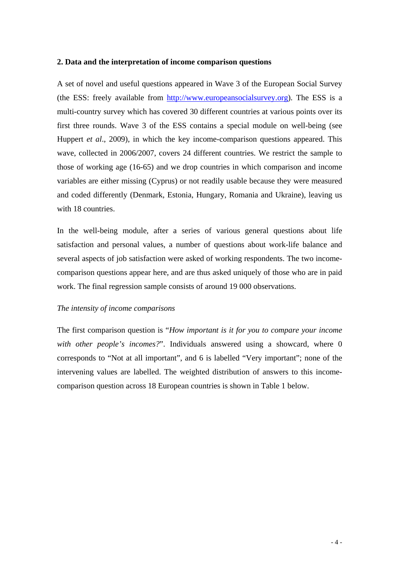#### **2. Data and the interpretation of income comparison questions**

A set of novel and useful questions appeared in Wave 3 of the European Social Survey (the ESS: freely available from [http://www.europeansocialsurvey.org\)](http://www.europeansocialsurvey.org/). The ESS is a multi-country survey which has covered 30 different countries at various points over its first three rounds. Wave 3 of the ESS contains a special module on well-being (see Huppert *et al*., 2009), in which the key income-comparison questions appeared. This wave, collected in 2006/2007, covers 24 different countries. We restrict the sample to those of working age (16-65) and we drop countries in which comparison and income variables are either missing (Cyprus) or not readily usable because they were measured and coded differently (Denmark, Estonia, Hungary, Romania and Ukraine), leaving us with 18 countries.

In the well-being module, after a series of various general questions about life satisfaction and personal values, a number of questions about work-life balance and several aspects of job satisfaction were asked of working respondents. The two incomecomparison questions appear here, and are thus asked uniquely of those who are in paid work. The final regression sample consists of around 19 000 observations.

# *The intensity of income comparisons*

The first comparison question is "*How important is it for you to compare your income with other people's incomes?*". Individuals answered using a showcard, where 0 corresponds to "Not at all important", and 6 is labelled "Very important"; none of the intervening values are labelled. The weighted distribution of answers to this incomecomparison question across 18 European countries is shown in Table 1 below.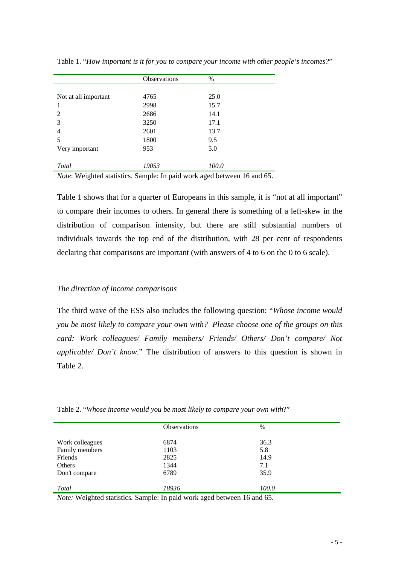|                          | Observations | $\%$  |
|--------------------------|--------------|-------|
|                          |              |       |
| Not at all important     | 4765         | 25.0  |
| 1                        | 2998         | 15.7  |
| $\overline{\mathcal{L}}$ | 2686         | 14.1  |
| 3                        | 3250         | 17.1  |
| 4                        | 2601         | 13.7  |
| 5                        | 1800         | 9.5   |
| Very important           | 953          | 5.0   |
|                          |              |       |
| Total                    | 19053        | 100.0 |

Table 1. "*How important is it for you to compare your income with other people's incomes?*"

*Note*: Weighted statistics. Sample: In paid work aged between 16 and 65.

Table 1 shows that for a quarter of Europeans in this sample, it is "not at all important" to compare their incomes to others. In general there is something of a left-skew in the distribution of comparison intensity, but there are still substantial numbers of individuals towards the top end of the distribution, with 28 per cent of respondents declaring that comparisons are important (with answers of 4 to 6 on the 0 to 6 scale).

# *The direction of income comparisons*

The third wave of the ESS also includes the following question: "*Whose income would you be most likely to compare your own with? Please choose one of the groups on this card: Work colleagues/ Family members/ Friends/ Others/ Don't compare/ Not applicable/ Don't know*." The distribution of answers to this question is shown in Table 2.

| Table 2. "Whose income would you be most likely to compare your own with?" |  |  |  |  |  |  |  |
|----------------------------------------------------------------------------|--|--|--|--|--|--|--|
|                                                                            |  |  |  |  |  |  |  |

|                 | <b>Observations</b> | $\%$  |
|-----------------|---------------------|-------|
| Work colleagues | 6874                | 36.3  |
| Family members  | 1103                | 5.8   |
| Friends         | 2825                | 14.9  |
| Others          | 1344                | 7.1   |
| Don't compare   | 6789                | 35.9  |
|                 |                     |       |
| <b>Total</b>    | 18936               | 100.0 |

*Note:* Weighted statistics*.* Sample: In paid work aged between 16 and 65.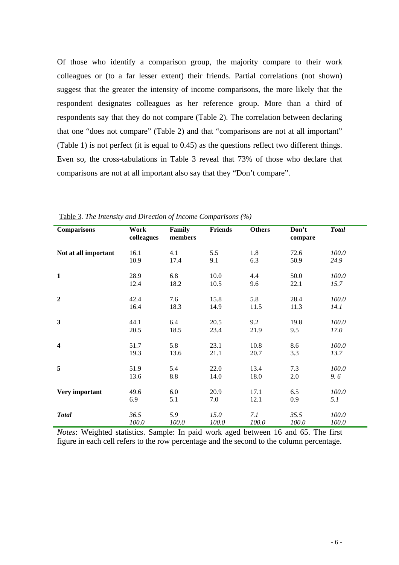Of those who identify a comparison group, the majority compare to their work colleagues or (to a far lesser extent) their friends. Partial correlations (not shown) suggest that the greater the intensity of income comparisons, the more likely that the respondent designates colleagues as her reference group. More than a third of respondents say that they do not compare (Table 2). The correlation between declaring that one "does not compare" (Table 2) and that "comparisons are not at all important" (Table 1) is not perfect (it is equal to 0.45) as the questions reflect two different things. Even so, the cross-tabulations in Table 3 reveal that 73% of those who declare that comparisons are not at all important also say that they "Don't compare".

| <b>Comparisons</b>      | Work<br>colleagues | Family<br>members | <b>Friends</b> | <b>Others</b> | Don't<br>compare | <b>Total</b> |
|-------------------------|--------------------|-------------------|----------------|---------------|------------------|--------------|
| Not at all important    | 16.1               | 4.1               | 5.5            | 1.8           | 72.6             | 100.0        |
|                         | 10.9               | 17.4              | 9.1            | 6.3           | 50.9             | 24.9         |
| $\mathbf{1}$            | 28.9               | 6.8               | 10.0           | 4.4           | 50.0             | 100.0        |
|                         | 12.4               | 18.2              | 10.5           | 9.6           | 22.1             | 15.7         |
| $\overline{2}$          | 42.4               | 7.6               | 15.8           | 5.8           | 28.4             | 100.0        |
|                         | 16.4               | 18.3              | 14.9           | 11.5          | 11.3             | 14.1         |
| $\mathbf{3}$            | 44.1               | 6.4               | 20.5           | 9.2           | 19.8             | 100.0        |
|                         | 20.5               | 18.5              | 23.4           | 21.9          | 9.5              | 17.0         |
| $\overline{\mathbf{4}}$ | 51.7               | 5.8               | 23.1           | 10.8          | 8.6              | 100.0        |
|                         | 19.3               | 13.6              | 21.1           | 20.7          | 3.3              | 13.7         |
| 5                       | 51.9               | 5.4               | 22.0           | 13.4          | 7.3              | 100.0        |
|                         | 13.6               | 8.8               | 14.0           | 18.0          | 2.0              | 9.6          |
| Very important          | 49.6               | 6.0               | 20.9           | 17.1          | 6.5              | 100.0        |
|                         | 6.9                | 5.1               | 7.0            | 12.1          | 0.9              | 5.1          |
| <b>Total</b>            | 36.5               | 5.9               | 15.0           | 7.1           | 35.5             | 100.0        |
|                         | 100.0              | 100.0             | 100.0          | 100.0         | 100.0            | 100.0        |

Table 3. *The Intensity and Direction of Income Comparisons (%)*

*Notes*: Weighted statistics. Sample: In paid work aged between 16 and 65. The first figure in each cell refers to the row percentage and the second to the column percentage.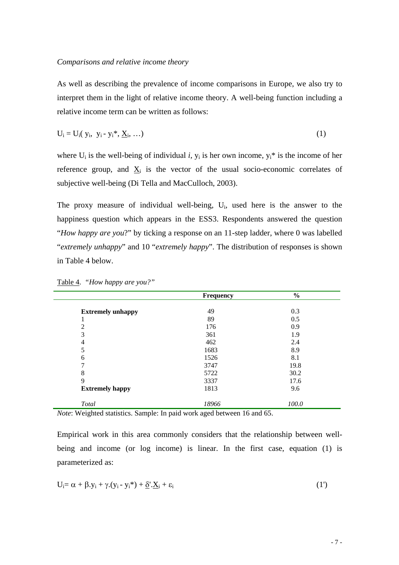As well as describing the prevalence of income comparisons in Europe, we also try to interpret them in the light of relative income theory. A well-being function including a relative income term can be written as follows:

$$
U_i = U_i(y_i, y_i - y_i^*, \underline{X}_i, \ldots) \tag{1}
$$

where  $U_i$  is the well-being of individual *i*,  $y_i$  is her own income,  $y_i^*$  is the income of her reference group, and  $\underline{X}_i$  is the vector of the usual socio-economic correlates of subjective well-being (Di Tella and MacCulloch, 2003).

The proxy measure of individual well-being,  $U_i$ , used here is the answer to the happiness question which appears in the ESS3. Respondents answered the question "*How happy are you*?" by ticking a response on an 11-step ladder, where 0 was labelled "*extremely unhappy*" and 10 "*extremely happy*". The distribution of responses is shown in Table 4 below.

|                          | Frequency | $\frac{0}{0}$ |  |
|--------------------------|-----------|---------------|--|
|                          |           |               |  |
| <b>Extremely unhappy</b> | 49        | 0.3           |  |
| 1                        | 89        | 0.5           |  |
| $\overline{2}$           | 176       | 0.9           |  |
| 3                        | 361       | 1.9           |  |
| 4                        | 462       | 2.4           |  |
| 5                        | 1683      | 8.9           |  |
| 6                        | 1526      | 8.1           |  |
| 7                        | 3747      | 19.8          |  |
| 8                        | 5722      | 30.2          |  |
| 9                        | 3337      | 17.6          |  |
| <b>Extremely happy</b>   | 1813      | 9.6           |  |
| <b>Total</b>             | 18966     | 100.0         |  |

Table 4. *"How happy are you?"* 

*Note*: Weighted statistics. Sample: In paid work aged between 16 and 65.

Empirical work in this area commonly considers that the relationship between wellbeing and income (or log income) is linear. In the first case, equation (1) is parameterized as:

$$
U_i = \alpha + \beta y_i + \gamma (y_i - y_i^*) + \underline{\delta} \cdot X_i + \epsilon_i
$$
\n<sup>(1')</sup>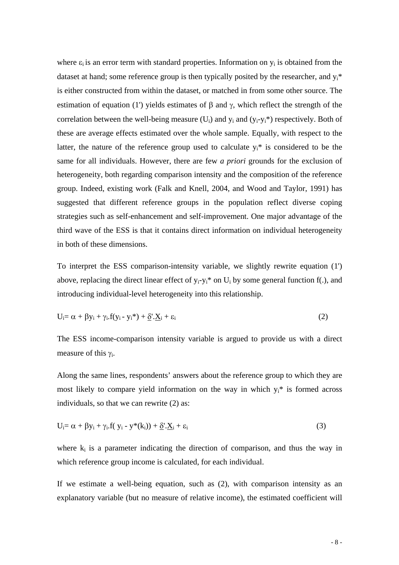where  $\varepsilon_i$  is an error term with standard properties. Information on  $y_i$  is obtained from the dataset at hand; some reference group is then typically posited by the researcher, and  $y_i^*$ is either constructed from within the dataset, or matched in from some other source. The estimation of equation (1') yields estimates of β and γ, which reflect the strength of the correlation between the well-being measure  $(U_i)$  and  $y_i$  and  $(y_i-y_i^*)$  respectively. Both of these are average effects estimated over the whole sample. Equally, with respect to the latter, the nature of the reference group used to calculate  $y_i^*$  is considered to be the same for all individuals. However, there are few *a priori* grounds for the exclusion of heterogeneity, both regarding comparison intensity and the composition of the reference group. Indeed, existing work (Falk and Knell, 2004, and Wood and Taylor, 1991) has suggested that different reference groups in the population reflect diverse coping strategies such as self-enhancement and self-improvement. One major advantage of the third wave of the ESS is that it contains direct information on individual heterogeneity in both of these dimensions.

To interpret the ESS comparison-intensity variable, we slightly rewrite equation (1') above, replacing the direct linear effect of  $y_i - y_i^*$  on  $U_i$  by some general function f(.), and introducing individual-level heterogeneity into this relationship.

$$
U_i = \alpha + \beta y_i + \gamma_i f(y_i - y_i^*) + \underline{\delta} \cdot X_i + \varepsilon_i
$$
\n(2)

The ESS income-comparison intensity variable is argued to provide us with a direct measure of this  $\gamma_i$ .

Along the same lines, respondents' answers about the reference group to which they are most likely to compare yield information on the way in which  $y_i^*$  is formed across individuals, so that we can rewrite (2) as:

$$
U_i = \alpha + \beta y_i + \gamma_i \cdot f(y_i - y^*(k_i)) + \underline{\delta} \cdot \underline{X}_i + \varepsilon_i
$$
\n(3)

where  $k_i$  is a parameter indicating the direction of comparison, and thus the way in which reference group income is calculated, for each individual.

If we estimate a well-being equation, such as (2), with comparison intensity as an explanatory variable (but no measure of relative income), the estimated coefficient will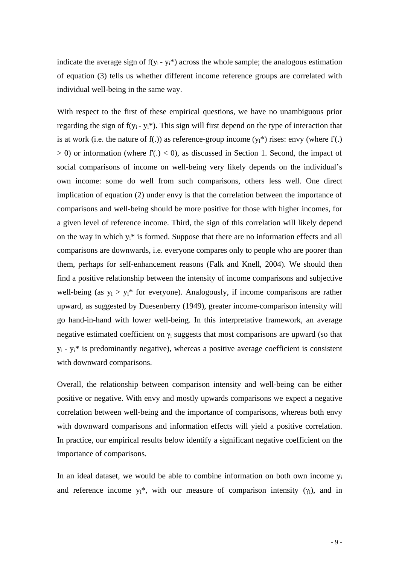indicate the average sign of  $f(y_i - y_i^*)$  across the whole sample; the analogous estimation of equation (3) tells us whether different income reference groups are correlated with individual well-being in the same way.

With respect to the first of these empirical questions, we have no unambiguous prior regarding the sign of  $f(y_i - y_i^*)$ . This sign will first depend on the type of interaction that is at work (i.e. the nature of f(.)) as reference-group income  $(y_i^*)$  rises: envy (where  $f'(.)$  $> 0$ ) or information (where f'(.)  $< 0$ ), as discussed in Section 1. Second, the impact of social comparisons of income on well-being very likely depends on the individual's own income: some do well from such comparisons, others less well. One direct implication of equation (2) under envy is that the correlation between the importance of comparisons and well-being should be more positive for those with higher incomes, for a given level of reference income. Third, the sign of this correlation will likely depend on the way in which  $y_i^*$  is formed. Suppose that there are no information effects and all comparisons are downwards, i.e. everyone compares only to people who are poorer than them, perhaps for self-enhancement reasons (Falk and Knell, 2004). We should then find a positive relationship between the intensity of income comparisons and subjective well-being (as  $y_i > y_i^*$  for everyone). Analogously, if income comparisons are rather upward, as suggested by Duesenberry (1949), greater income-comparison intensity will go hand-in-hand with lower well-being. In this interpretative framework, an average negative estimated coefficient on  $\gamma_i$  suggests that most comparisons are upward (so that  $y_i - y_i^*$  is predominantly negative), whereas a positive average coefficient is consistent with downward comparisons.

Overall, the relationship between comparison intensity and well-being can be either positive or negative. With envy and mostly upwards comparisons we expect a negative correlation between well-being and the importance of comparisons, whereas both envy with downward comparisons and information effects will yield a positive correlation. In practice, our empirical results below identify a significant negative coefficient on the importance of comparisons.

In an ideal dataset, we would be able to combine information on both own income  $y_i$ and reference income  $y_i^*$ , with our measure of comparison intensity ( $\gamma_i$ ), and in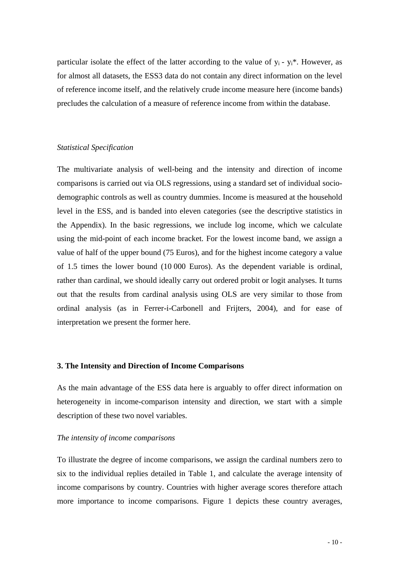particular isolate the effect of the latter according to the value of  $y_i$  -  $y_i$ <sup>\*</sup>. However, as for almost all datasets, the ESS3 data do not contain any direct information on the level of reference income itself, and the relatively crude income measure here (income bands) precludes the calculation of a measure of reference income from within the database.

### *Statistical Specification*

The multivariate analysis of well-being and the intensity and direction of income comparisons is carried out via OLS regressions, using a standard set of individual sociodemographic controls as well as country dummies. Income is measured at the household level in the ESS, and is banded into eleven categories (see the descriptive statistics in the Appendix). In the basic regressions, we include log income, which we calculate using the mid-point of each income bracket. For the lowest income band, we assign a value of half of the upper bound (75 Euros), and for the highest income category a value of 1.5 times the lower bound (10 000 Euros). As the dependent variable is ordinal, rather than cardinal, we should ideally carry out ordered probit or logit analyses. It turns out that the results from cardinal analysis using OLS are very similar to those from ordinal analysis (as in Ferrer-i-Carbonell and Frijters, 2004), and for ease of interpretation we present the former here.

#### **3. The Intensity and Direction of Income Comparisons**

As the main advantage of the ESS data here is arguably to offer direct information on heterogeneity in income-comparison intensity and direction, we start with a simple description of these two novel variables.

#### *The intensity of income comparisons*

To illustrate the degree of income comparisons, we assign the cardinal numbers zero to six to the individual replies detailed in Table 1, and calculate the average intensity of income comparisons by country. Countries with higher average scores therefore attach more importance to income comparisons. Figure 1 depicts these country averages,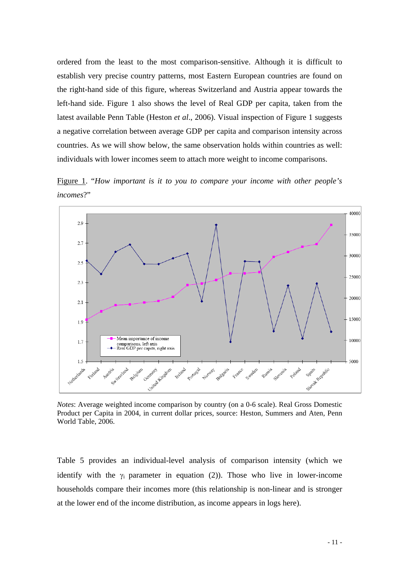ordered from the least to the most comparison-sensitive. Although it is difficult to establish very precise country patterns, most Eastern European countries are found on the right-hand side of this figure, whereas Switzerland and Austria appear towards the left-hand side. Figure 1 also shows the level of Real GDP per capita, taken from the latest available Penn Table (Heston *et al*., 2006). Visual inspection of Figure 1 suggests a negative correlation between average GDP per capita and comparison intensity across countries. As we will show below, the same observation holds within countries as well: individuals with lower incomes seem to attach more weight to income comparisons.

Figure 1. "*How important is it to you to compare your income with other people's incomes*?"



*Notes*: Average weighted income comparison by country (on a 0-6 scale). Real Gross Domestic Product per Capita in 2004, in current dollar prices, source: Heston, Summers and Aten, Penn World Table, 2006.

Table 5 provides an individual-level analysis of comparison intensity (which we identify with the  $\gamma_i$  parameter in equation (2)). Those who live in lower-income households compare their incomes more (this relationship is non-linear and is stronger at the lower end of the income distribution, as income appears in logs here).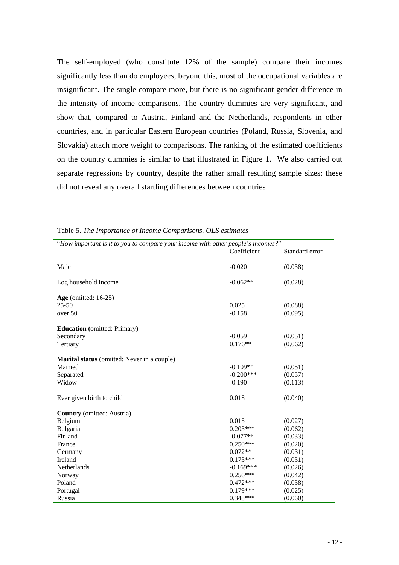The self-employed (who constitute 12% of the sample) compare their incomes significantly less than do employees; beyond this, most of the occupational variables are insignificant. The single compare more, but there is no significant gender difference in the intensity of income comparisons. The country dummies are very significant, and show that, compared to Austria, Finland and the Netherlands, respondents in other countries, and in particular Eastern European countries (Poland, Russia, Slovenia, and Slovakia) attach more weight to comparisons. The ranking of the estimated coefficients on the country dummies is similar to that illustrated in Figure 1. We also carried out separate regressions by country, despite the rather small resulting sample sizes: these did not reveal any overall startling differences between countries.

| "How important is it to you to compare your income with other people's incomes?" |             |                |
|----------------------------------------------------------------------------------|-------------|----------------|
|                                                                                  | Coefficient | Standard error |
|                                                                                  |             |                |
| Male                                                                             | $-0.020$    | (0.038)        |
|                                                                                  |             |                |
| Log household income                                                             | $-0.062**$  | (0.028)        |
|                                                                                  |             |                |
| Age (omitted: $16-25$ )                                                          |             |                |
| $25 - 50$                                                                        | 0.025       | (0.088)        |
| over 50                                                                          | $-0.158$    | (0.095)        |
|                                                                                  |             |                |
| <b>Education</b> (omitted: Primary)                                              |             |                |
| Secondary                                                                        | $-0.059$    | (0.051)        |
| Tertiary                                                                         | $0.176**$   | (0.062)        |
|                                                                                  |             |                |
| Marital status (omitted: Never in a couple)                                      |             |                |
| Married                                                                          | $-0.109**$  | (0.051)        |
| Separated                                                                        | $-0.200***$ | (0.057)        |
| Widow                                                                            | $-0.190$    | (0.113)        |
|                                                                                  |             |                |
| Ever given birth to child                                                        | 0.018       | (0.040)        |
|                                                                                  |             |                |
| <b>Country</b> (omitted: Austria)                                                |             |                |
| Belgium                                                                          | 0.015       | (0.027)        |
| Bulgaria                                                                         | $0.203***$  | (0.062)        |
| Finland                                                                          | $-0.077**$  | (0.033)        |
| France                                                                           | $0.250***$  | (0.020)        |
| Germany                                                                          | $0.072**$   | (0.031)        |
| Ireland                                                                          | $0.173***$  | (0.031)        |
| Netherlands                                                                      | $-0.169***$ | (0.026)        |
| Norway                                                                           | $0.256***$  | (0.042)        |
| Poland                                                                           | $0.472***$  | (0.038)        |
| Portugal                                                                         | $0.179***$  | (0.025)        |
| Russia                                                                           | $0.348***$  | (0.060)        |

Table 5 . *The Importance of Income Comparisons. OLS estimates*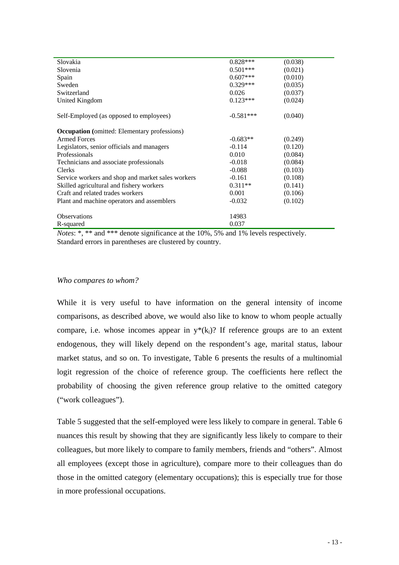| Slovakia                                            | $0.828***$  | (0.038) |
|-----------------------------------------------------|-------------|---------|
| Slovenia                                            | $0.501***$  | (0.021) |
| Spain                                               | $0.607***$  | (0.010) |
| Sweden                                              | $0.329***$  | (0.035) |
| Switzerland                                         | 0.026       | (0.037) |
| <b>United Kingdom</b>                               | $0.123***$  | (0.024) |
| Self-Employed (as opposed to employees)             | $-0.581***$ | (0.040) |
| <b>Occupation</b> (omitted: Elementary professions) |             |         |
| <b>Armed Forces</b>                                 | $-0.683**$  | (0.249) |
| Legislators, senior officials and managers          | $-0.114$    | (0.120) |
| Professionals                                       | 0.010       | (0.084) |
| Technicians and associate professionals             | $-0.018$    | (0.084) |
| Clerks                                              | $-0.088$    | (0.103) |
| Service workers and shop and market sales workers   | $-0.161$    | (0.108) |
| Skilled agricultural and fishery workers            | $0.311**$   | (0.141) |
| Craft and related trades workers                    | 0.001       | (0.106) |
| Plant and machine operators and assemblers          | $-0.032$    | (0.102) |
| <b>Observations</b>                                 | 14983       |         |
| R-squared                                           | 0.037       |         |

*Notes*: \*, \*\* and \*\*\* denote significance at the 10%, 5% and 1% levels respectively. Standard errors in parentheses are clustered by country.

#### *Who compares to whom?*

While it is very useful to have information on the general intensity of income comparisons, as described above, we would also like to know to whom people actually compare, i.e. whose incomes appear in  $y^*(k_i)$ ? If reference groups are to an extent endogenous, they will likely depend on the respondent's age, marital status, labour market status, and so on. To investigate, Table 6 presents the results of a multinomial logit regression of the choice of reference group. The coefficients here reflect the probability of choosing the given reference group relative to the omitted category ("work colleagues").

nuances this result by showing that they are significantly less likely to compare to their colleagues, but more likely to compare to family members, friends and "others". Almost Table 5 suggested that the self-employed were less likely to compare in general. Table 6 all employees (except those in agriculture), compare more to their colleagues than do those in the omitted category (elementary occupations); this is especially true for those in more professional occupations.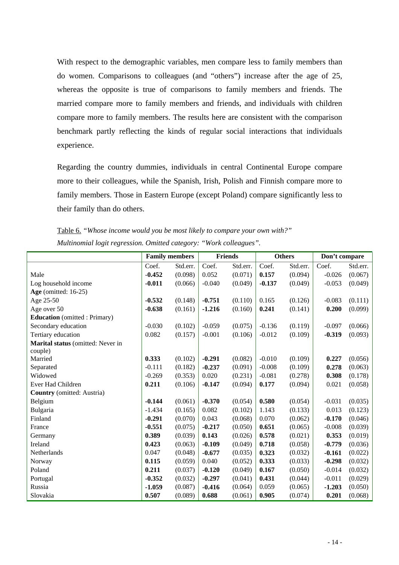With respect to the demographic variables, men compare less to family members than do women. Comparisons to colleagues (and "others") increase after the age of 25, whereas the opposite is true of comparisons to family members and friends. The married compare more to family members and friends, and individuals with children compare more to family members. The results here are consistent with the comparison benchmark partly reflecting the kinds of regular social interactions that individuals experience.

more to their colleagues, while the Spanish, Irish, Polish and Finnish compare more to family members. Those in Eastern Europe (except Poland) compare significantly less to Regarding the country dummies, individuals in central Continental Europe compare their family than do others.

|                                      | <b>Family members</b> |          | <b>Friends</b> |          | <b>Others</b> |          | Don't compare |          |
|--------------------------------------|-----------------------|----------|----------------|----------|---------------|----------|---------------|----------|
|                                      | Coef.                 | Std.err. | Coef.          | Std.err. | Coef.         | Std.err. | Coef.         | Std.err. |
| Male                                 | $-0.452$              | (0.098)  | 0.052          | (0.071)  | 0.157         | (0.094)  | $-0.026$      | (0.067)  |
| Log household income                 | $-0.011$              | (0.066)  | $-0.040$       | (0.049)  | $-0.137$      | (0.049)  | $-0.053$      | (0.049)  |
| Age (omitted: $16-25$ )              |                       |          |                |          |               |          |               |          |
| Age 25-50                            | $-0.532$              | (0.148)  | $-0.751$       | (0.110)  | 0.165         | (0.126)  | $-0.083$      | (0.111)  |
| Age over 50                          | $-0.638$              | (0.161)  | $-1.216$       | (0.160)  | 0.241         | (0.141)  | 0.200         | (0.099)  |
| <b>Education</b> (omitted : Primary) |                       |          |                |          |               |          |               |          |
| Secondary education                  | $-0.030$              | (0.102)  | $-0.059$       | (0.075)  | $-0.136$      | (0.119)  | $-0.097$      | (0.066)  |
| Tertiary education                   | 0.082                 | (0.157)  | $-0.001$       | (0.106)  | $-0.012$      | (0.109)  | $-0.319$      | (0.093)  |
| Marital status (omitted: Never in    |                       |          |                |          |               |          |               |          |
| couple)                              |                       |          |                |          |               |          |               |          |
| Married                              | 0.333                 | (0.102)  | $-0.291$       | (0.082)  | $-0.010$      | (0.109)  | 0.227         | (0.056)  |
| Separated                            | $-0.111$              | (0.182)  | $-0.237$       | (0.091)  | $-0.008$      | (0.109)  | 0.278         | (0.063)  |
| Widowed                              | $-0.269$              | (0.353)  | 0.020          | (0.231)  | $-0.081$      | (0.278)  | 0.308         | (0.178)  |
| Ever Had Children                    | 0.211                 | (0.106)  | $-0.147$       | (0.094)  | 0.177         | (0.094)  | 0.021         | (0.058)  |
| <b>Country</b> (omitted: Austria)    |                       |          |                |          |               |          |               |          |
| Belgium                              | $-0.144$              | (0.061)  | $-0.370$       | (0.054)  | 0.580         | (0.054)  | $-0.031$      | (0.035)  |
| Bulgaria                             | $-1.434$              | (0.165)  | 0.082          | (0.102)  | 1.143         | (0.133)  | 0.013         | (0.123)  |
| Finland                              | $-0.291$              | (0.070)  | 0.043          | (0.068)  | 0.070         | (0.062)  | $-0.170$      | (0.046)  |
| France                               | $-0.551$              | (0.075)  | $-0.217$       | (0.050)  | 0.651         | (0.065)  | $-0.008$      | (0.039)  |
| Germany                              | 0.389                 | (0.039)  | 0.143          | (0.026)  | 0.578         | (0.021)  | 0.353         | (0.019)  |
| Ireland                              | 0.423                 | (0.063)  | $-0.109$       | (0.049)  | 0.718         | (0.058)  | $-0.779$      | (0.036)  |
| Netherlands                          | 0.047                 | (0.048)  | $-0.677$       | (0.035)  | 0.323         | (0.032)  | $-0.161$      | (0.022)  |
| Norway                               | 0.115                 | (0.059)  | 0.040          | (0.052)  | 0.333         | (0.033)  | $-0.298$      | (0.032)  |
| Poland                               | 0.211                 | (0.037)  | $-0.120$       | (0.049)  | 0.167         | (0.050)  | $-0.014$      | (0.032)  |
| Portugal                             | $-0.352$              | (0.032)  | $-0.297$       | (0.041)  | 0.431         | (0.044)  | $-0.011$      | (0.029)  |
| Russia                               | $-1.059$              | (0.087)  | $-0.416$       | (0.064)  | 0.059         | (0.065)  | $-1.203$      | (0.050)  |
| Slovakia                             | 0.507                 | (0.089)  | 0.688          | (0.061)  | 0.905         | (0.074)  | 0.201         | (0.068)  |

Table 6. *"Whose income would you be most likely to compare your own with?" Multinomial logit regression. Omitted category: "Work colleagues".*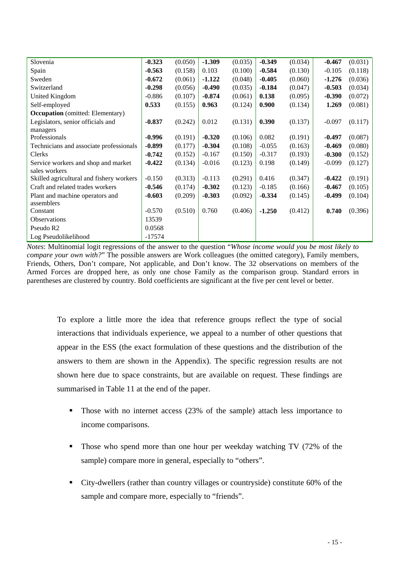| Slovenia                                 | $-0.323$ | (0.050) | $-1.309$ | (0.035) | $-0.349$ | (0.034) | $-0.467$ | (0.031) |
|------------------------------------------|----------|---------|----------|---------|----------|---------|----------|---------|
| Spain                                    | $-0.563$ | (0.158) | 0.103    | (0.100) | $-0.584$ | (0.130) | $-0.105$ | (0.118) |
| Sweden                                   | $-0.672$ | (0.061) | $-1.122$ | (0.048) | $-0.405$ | (0.060) | $-1.276$ | (0.036) |
| Switzerland                              | $-0.298$ | (0.056) | $-0.490$ | (0.035) | $-0.184$ | (0.047) | $-0.503$ | (0.034) |
| United Kingdom                           | $-0.886$ | (0.107) | $-0.874$ | (0.061) | 0.138    | (0.095) | $-0.390$ | (0.072) |
| Self-employed                            | 0.533    | (0.155) | 0.963    | (0.124) | 0.900    | (0.134) | 1.269    | (0.081) |
| <b>Occupation</b> (omitted: Elementary)  |          |         |          |         |          |         |          |         |
| Legislators, senior officials and        | $-0.837$ | (0.242) | 0.012    | (0.131) | 0.390    | (0.137) | $-0.097$ | (0.117) |
| managers                                 |          |         |          |         |          |         |          |         |
| Professionals                            | $-0.996$ | (0.191) | $-0.320$ | (0.106) | 0.082    | (0.191) | $-0.497$ | (0.087) |
| Technicians and associate professionals  | $-0.899$ | (0.177) | $-0.304$ | (0.108) | $-0.055$ | (0.163) | $-0.469$ | (0.080) |
| Clerks                                   | $-0.742$ | (0.152) | $-0.167$ | (0.150) | $-0.317$ | (0.193) | $-0.300$ | (0.152) |
| Service workers and shop and market      | $-0.422$ | (0.134) | $-0.016$ | (0.123) | 0.198    | (0.149) | $-0.099$ | (0.127) |
| sales workers                            |          |         |          |         |          |         |          |         |
| Skilled agricultural and fishery workers | $-0.150$ | (0.313) | $-0.113$ | (0.291) | 0.416    | (0.347) | $-0.422$ | (0.191) |
| Craft and related trades workers         | $-0.546$ | (0.174) | $-0.302$ | (0.123) | $-0.185$ | (0.166) | $-0.467$ | (0.105) |
| Plant and machine operators and          | $-0.603$ | (0.209) | $-0.303$ | (0.092) | $-0.334$ | (0.145) | $-0.499$ | (0.104) |
| assemblers                               |          |         |          |         |          |         |          |         |
| Constant                                 | $-0.570$ | (0.510) | 0.760    | (0.406) | $-1.250$ | (0.412) | 0.740    | (0.396) |
| <b>Observations</b>                      | 13539    |         |          |         |          |         |          |         |
| Pseudo R <sub>2</sub>                    | 0.0568   |         |          |         |          |         |          |         |
| Log Pseudolikelihood                     | $-17574$ |         |          |         |          |         |          |         |

Notes: Multinomial logit regressions of the answer to the question "Whose income would you be most likely to compare your own with?" The possible answers are Work colleagues (the omitted category), Family members, Friends, Others, Don't compare, Not applicable, and Don't know. The 32 observations on members of the Armed Forces are dropped here, as only one chose Family as the comparison group. Standard errors in parentheses are clustered by country. Bold coefficients are significant at the five per cent level or better.

To explore a little more the idea that reference groups reflect the type of social interactions that individuals experience, we appeal to a number of other questions that appear in the ESS (the exact formulation of these questions and the distribution of the answers to them are shown in the Appendix). The specific regression results are not shown here due to space constraints, but are available on request. These findings are summarised in Table 11 at the end of the paper.

- Those with no internet access (23% of the sample) attach less importance to income comparisons.
- sample) compare more in general, especially to "others". • Those who spend more than one hour per weekday watching TV (72% of the
- City-dwellers (rather than country villages or countryside) constitute 60% of the sample and compare more, especially to "friends".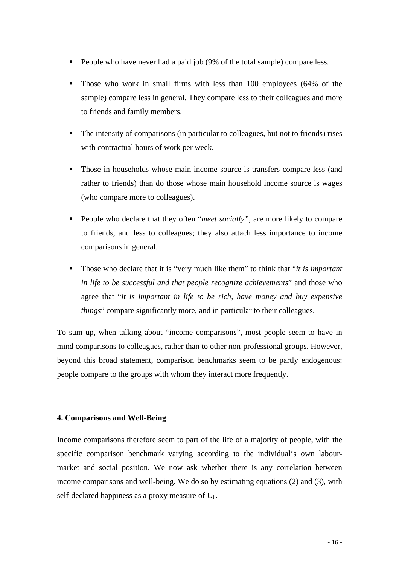- **People who have never had a paid job (9% of the total sample) compare less.**
- **Those who work in small firms with less than 100 employees (64% of the** sample) compare less in general. They compare less to their colleagues and more to friends and family members.
- . with contractual hours of work per week. The intensity of comparisons (in particular to colleagues, but not to friends) rises
- rather to friends) than do those whose main household income source is wages (who compare more to colleagues). • Those in households whose main income source is transfers compare less (and
- **People who declare that they often "***meet socially***", are more likely to compare** to friends, and less to colleagues; they also attach less importance to income comparisons in general.
- . *in life to be successful and that people recognize achievements*" and those who agree that "*it is important in life to be rich, have money and buy expensive*  Those who declare that it is "very much like them" to think that "*it is important things*" compare significantly more, and in particular to their colleagues.

To sum up, when talking about "income comparisons", most people seem to have in mind comparisons to colleagues, rather than to other non-professional groups. However, beyond this broad statement, comparison benchmarks seem to be partly endogenous: people compare to the groups with whom they interact more frequently.

# **4. Comparisons and Well-Being**

Income comparisons therefore seem to part of the life of a majority of people, with the specific comparison benchmark varying according to the individual's own labourmarket and social position. We now ask whether there is any correlation between self-declared happiness as a proxy measure of  $U_i$ . income comparisons and well-being. We do so by estimating equations (2) and (3), with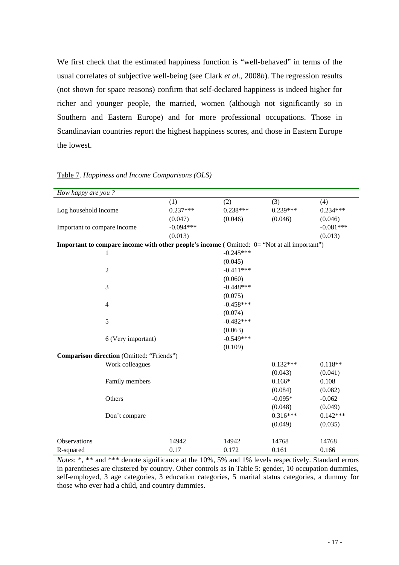We first check that the estimated happiness function is "well-behaved" in terms of the usual correlates of subjective well-being (see Clark *et al.*, 2008*b*). The regression results (not shown for space reasons) confirm that self-declared happiness is indeed higher for richer and younger people, the married, women (although not significantly so in Southern and Eastern Europe) and for more professional occupations. Those in Scandinavian countries report the highest happiness scores, and those in Eastern Europe the lowest.

| How happy are you?                                                                          |                    |             |             |            |             |
|---------------------------------------------------------------------------------------------|--------------------|-------------|-------------|------------|-------------|
|                                                                                             |                    | (1)         | (2)         | (3)        | (4)         |
| Log household income                                                                        |                    | $0.237***$  | $0.238***$  | $0.239***$ | $0.234***$  |
|                                                                                             |                    | (0.047)     | (0.046)     | (0.046)    | (0.046)     |
| Important to compare income                                                                 |                    | $-0.094***$ |             |            | $-0.081***$ |
|                                                                                             |                    | (0.013)     |             |            | (0.013)     |
| Important to compare income with other people's income (Omitted: 0= "Not at all important") |                    |             |             |            |             |
| 1                                                                                           |                    |             | $-0.245***$ |            |             |
|                                                                                             |                    |             | (0.045)     |            |             |
| $\overline{2}$                                                                              |                    |             | $-0.411***$ |            |             |
|                                                                                             |                    |             | (0.060)     |            |             |
| 3                                                                                           |                    |             | $-0.448***$ |            |             |
|                                                                                             |                    |             | (0.075)     |            |             |
| $\overline{4}$                                                                              |                    |             | $-0.458***$ |            |             |
|                                                                                             |                    |             | (0.074)     |            |             |
| 5                                                                                           |                    |             | $-0.482***$ |            |             |
|                                                                                             |                    |             | (0.063)     |            |             |
|                                                                                             | 6 (Very important) |             | $-0.549***$ |            |             |
|                                                                                             |                    |             | (0.109)     |            |             |
| Comparison direction (Omitted: "Friends")                                                   |                    |             |             |            |             |
|                                                                                             | Work colleagues    |             |             | $0.132***$ | $0.118**$   |
|                                                                                             |                    |             |             | (0.043)    | (0.041)     |
|                                                                                             | Family members     |             |             | $0.166*$   | 0.108       |
|                                                                                             |                    |             |             | (0.084)    | (0.082)     |
|                                                                                             | Others             |             |             | $-0.095*$  | $-0.062$    |
|                                                                                             |                    |             |             | (0.048)    | (0.049)     |
|                                                                                             | Don't compare      |             |             | $0.316***$ | $0.142***$  |
|                                                                                             |                    |             |             | (0.049)    | (0.035)     |
| Observations                                                                                |                    | 14942       | 14942       | 14768      | 14768       |
| R-squared                                                                                   |                    | 0.17        | 0.172       | 0.161      | 0.166       |

Table 7. *Happiness and Income Comparisons (OLS)* 

*Notes*: \*, \*\* and \*\*\* denote significance at the 10%, 5% and 1% levels respectively. Standard errors in parentheses are clustered by country. Other controls as in Table 5: gender, 10 occupation dummies, self-employed, 3 age categories, 3 education categories, 5 marital status categories, a dummy for those who ever had a child, and country dummies.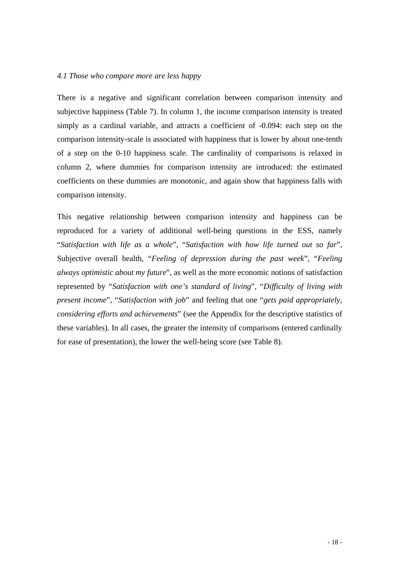#### *4.1 Those who compare more are less happy*

There is a negative and significant correlation between comparison intensity and subjective happiness (Table 7). In column 1, the income comparison intensity is treated simply as a cardinal variable, and attracts a coefficient of -0.094: each step on the comparison intensity-scale is associated with happiness that is lower by about one-tenth of a step on the 0-10 happiness scale. The cardinality of comparisons is relaxed in column 2, where dummies for comparison intensity are introduced: the estimated coefficients on these dummies are monotonic, and again show that happiness falls with comparison intensity.

"Satisfaction with life as a whole", "Satisfaction with how life turned out so far", This negative relationship between comparison intensity and happiness can be reproduced for a variety of additional well-being questions in the ESS, namely Subjective overall health, "*Feeling of depression during the past week*", "*Feeling always optimistic about my future*", as well as the more economic notions of satisfaction represented by "*Satisfaction with one's standard of living*", "*Difficulty of living with present income*", "*Satisfaction with job*" and feeling that one "*gets paid appropriately, considering efforts and achievements*" (see the Appendix for the descriptive statistics of these variables). In all cases, the greater the intensity of comparisons (entered cardinally for ease of presentation), the lower the well-being score (see Table 8).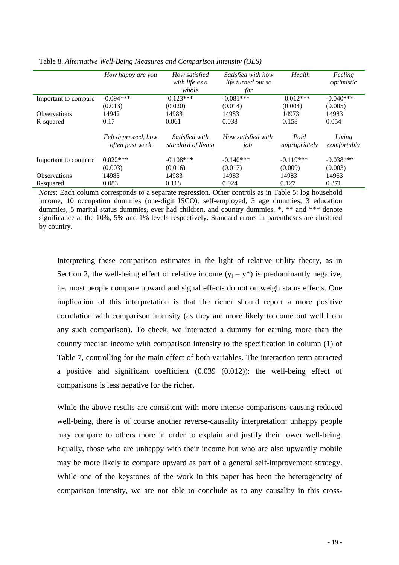|                      | How happy are you                      | How satisfied                        | Satisfied with how        | Health                | Feeling               |
|----------------------|----------------------------------------|--------------------------------------|---------------------------|-----------------------|-----------------------|
|                      |                                        | with life as a                       | life turned out so        |                       | optimistic            |
|                      |                                        | whole                                | far                       |                       |                       |
| Important to compare | $-0.094***$                            | $-0.123***$                          | $-0.081***$               | $-0.012***$           | $-0.040***$           |
|                      | (0.013)                                | (0.020)                              | (0.014)                   | (0.004)               | (0.005)               |
| <b>Observations</b>  | 14942                                  | 14983                                | 14983                     | 14973                 | 14983                 |
| R-squared            | 0.17                                   | 0.061                                | 0.038                     | 0.158                 | 0.054                 |
|                      | Felt depressed, how<br>often past week | Satisfied with<br>standard of living | How satisfied with<br>job | Paid<br>appropriately | Living<br>comfortably |
| Important to compare | $0.022***$                             | $-0.108***$                          | $-0.140***$               | $-0.119***$           | $-0.038***$           |
|                      | (0.003)                                | (0.016)                              | (0.017)                   | (0.009)               | (0.003)               |
| <b>Observations</b>  | 14983                                  | 14983                                | 14983                     | 14983                 | 14963                 |
| R-squared            | 0.083                                  | 0.118                                | 0.024                     | 0.127                 | 0.371                 |

Table 8. *Alternative Well-Being Measures and Comparison Intensity (OLS)* 

*Notes*: Each column corresponds to a separate regression. Other controls as in Table 5: log household income, 10 occupation dummies (one-digit ISCO), self-employed, 3 age dummies, 3 education dummies, 5 marital status dummies, ever had children, and country dummies. \*, \*\* and \*\*\* denote significance at the 10%, 5% and 1% levels respectively. Standard errors in parentheses are clustered by country.

Interpreting these comparison estimates in the light of relative utility theory, as in Section 2, the well-being effect of relative income  $(y_i - y^*)$  is predominantly negative, i.e. most people compare upward and signal effects do not outweigh status effects. One implication of this interpretation is that the richer should report a more positive correlation with comparison intensity (as they are more likely to come out well from any such comparison). To check, we interacted a dummy for earning more than the country median income with comparison intensity to the specification in column (1) of Table 7, controlling for the main effect of both variables. The interaction term attracted a positive and significant coefficient (0.039 (0.012)): the well-being effect of comparisons is less negative for the richer.

While the above results are consistent with more intense comparisons causing reduced well-being, there is of course another reverse-causality interpretation: unhappy people may compare to others more in order to explain and justify their lower well-being. Equally, those who are unhappy with their income but who are also upwardly mobile may be more likely to compare upward as part of a general self-improvement strategy. While one of the keystones of the work in this paper has been the heterogeneity of comparison intensity, we are not able to conclude as to any causality in this cross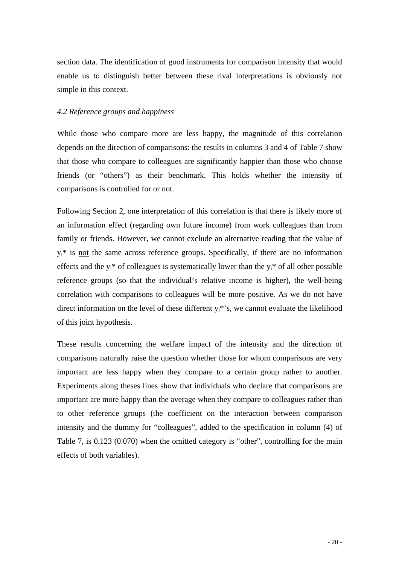section data. The identification of good instruments for comparison intensity that would enable us to distinguish better between these rival interpretations is obviously not simple in this context.

#### *4.2 Reference groups and happiness*

While those who compare more are less happy, the magnitude of this correlation depends on the direction of comparisons: the results in columns 3 and 4 of Table 7 show that those who compare to colleagues are significantly happier than those who choose friends (or "others") as their benchmark. This holds whether the intensity of comparisons is controlled for or not.

Following Section 2, one interpretation of this correlation is that there is likely more of an information effect (regarding own future income) from work colleagues than from family or friends. However, we cannot exclude an alternative reading that the value of  $y_i^*$  is not the same across reference groups. Specifically, if there are no information effects and the  $y_i^*$  of colleagues is systematically lower than the  $y_i^*$  of all other possible reference groups (so that the individual's relative income is higher), the well-being correlation with comparisons to colleagues will be more positive. As we do not have direct information on the level of these different  $y_i^*$ 's, we cannot evaluate the likelihood of this joint hypothesis.

These results concerning the welfare impact of the intensity and the direction of comparisons naturally raise the question whether those for whom comparisons are very important are less happy when they compare to a certain group rather to another. Experiments along theses lines show that individuals who declare that comparisons are important are more happy than the average when they compare to colleagues rather than to other reference groups (the coefficient on the interaction between comparison intensity and the dummy for "colleagues", added to the specification in column (4) of Table 7, is 0.123 (0.070) when the omitted category is "other", controlling for the main effects of both variables).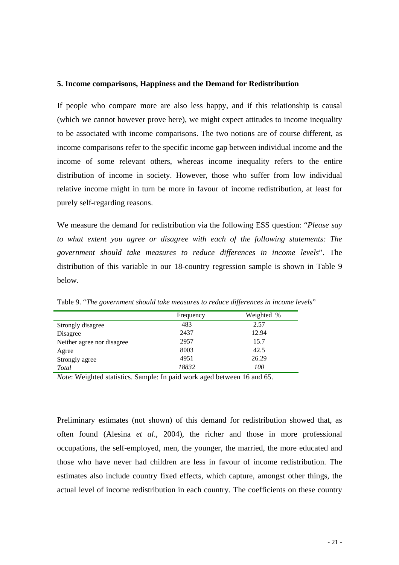#### **5. Income comparisons, Happiness and the Demand for Redistribution**

If people who compare more are also less happy, and if this relationship is causal (which we cannot however prove here), we might expect attitudes to income inequality to be associated with income comparisons. The two notions are of course different, as income comparisons refer to the specific income gap between individual income and the income of some relevant others, whereas income inequality refers to the entire distribution of income in society. However, those who suffer from low individual relative income might in turn be more in favour of income redistribution, at least for purely self-regarding reasons.

We measure the demand for redistribution via the following ESS question: "*Please say to what extent you agree or disagree with each of the following statements: The government should take measures to reduce differences in income levels*". The distribution of this variable in our 18-country regression sample is shown in Table 9 below.

|                            | Frequency | Weighted % |
|----------------------------|-----------|------------|
| Strongly disagree          | 483       | 2.57       |
| Disagree                   | 2437      | 12.94      |
| Neither agree nor disagree | 2957      | 15.7       |
| Agree                      | 8003      | 42.5       |
| Strongly agree             | 4951      | 26.29      |
| Total                      | 18832     | 100        |

Table 9. "*The government should take measures to reduce differences in income levels*"

*Note*: Weighted statistics. Sample: In paid work aged between 16 and 65.

Preliminary estimates (not shown) of this demand for redistribution showed that, as often found (Alesina *et al*., 2004), the richer and those in more professional occupations, the self-employed, men, the younger, the married, the more educated and those who have never had children are less in favour of income redistribution. The estimates also include country fixed effects, which capture, amongst other things, the actual level of income redistribution in each country. The coefficients on these country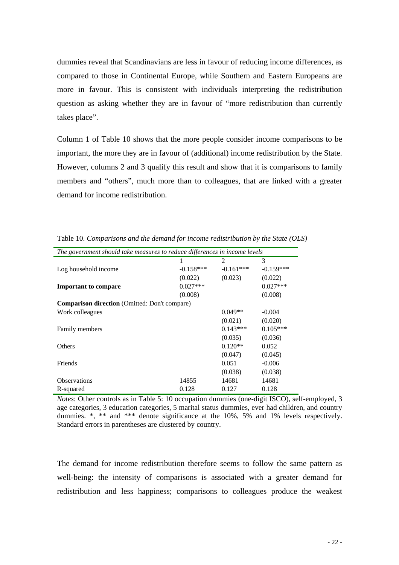dummies reveal that Scandinavians are less in favour of reducing income differences, as compared to those in Continental Europe, while Southern and Eastern Europeans are more in favour. This is consistent with individuals interpreting the redistribution question as asking whether they are in favour of "more redistribution than currently takes place".

Column 1 of Table 10 shows that the more people consider income comparisons to be important, the more they are in favour of (additional) income redistribution by the State. However, columns 2 and 3 qualify this result and show that it is comparisons to family members and "others", much more than to colleagues, that are linked with a greater demand for income redistribution.

| The government should take measures to reduce differences in income levels |             |               |             |  |  |
|----------------------------------------------------------------------------|-------------|---------------|-------------|--|--|
|                                                                            |             | $\mathcal{L}$ | 3           |  |  |
| Log household income                                                       | $-0.158***$ | $-0.161***$   | $-0.159***$ |  |  |
|                                                                            | (0.022)     | (0.023)       | (0.022)     |  |  |
| <b>Important to compare</b>                                                | $0.027***$  |               | $0.027***$  |  |  |
|                                                                            | (0.008)     |               | (0.008)     |  |  |
| <b>Comparison direction</b> (Omitted: Don't compare)                       |             |               |             |  |  |
| Work colleagues                                                            |             | $0.049**$     | $-0.004$    |  |  |
|                                                                            |             | (0.021)       | (0.020)     |  |  |
| <b>Family members</b>                                                      |             | $0.143***$    | $0.105***$  |  |  |
|                                                                            |             | (0.035)       | (0.036)     |  |  |
| Others                                                                     |             | $0.120**$     | 0.052       |  |  |
|                                                                            |             | (0.047)       | (0.045)     |  |  |
| Friends                                                                    |             | 0.051         | $-0.006$    |  |  |
|                                                                            |             | (0.038)       | (0.038)     |  |  |
| <b>Observations</b>                                                        | 14855       | 14681         | 14681       |  |  |
| R-squared                                                                  | 0.128       | 0.127         | 0.128       |  |  |

Table 10. *Comparisons and the demand for income redistribution by the State (OLS)* 

*Notes*: Other controls as in Table 5: 10 occupation dummies (one-digit ISCO), self-employed, 3 age categories, 3 education categories, 5 marital status dummies, ever had children, and country dummies. \*, \*\* and \*\*\* denote significance at the 10%, 5% and 1% levels respectively. Standard errors in parentheses are clustered by country.

The demand for income redistribution therefore seems to follow the same pattern as well-being: the intensity of comparisons is associated with a greater demand for redistribution and less happiness; comparisons to colleagues produce the weakest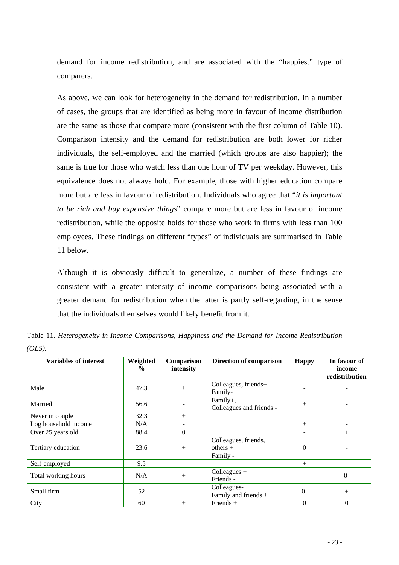demand for income redistribution, and are associated with the "happiest" type of comparers.

As above, we can look for heterogeneity in the demand for redistribution. In a number of cases, the groups that are identified as being more in favour of income distribution are the same as those that compare more (consistent with the first column of Table 10). Comparison intensity and the demand for redistribution are both lower for richer individuals, the self-employed and the married (which groups are also happier); the same is true for those who watch less than one hour of TV per weekday. However, this equivalence does not always hold. For example, those with higher education compare more but are less in favour of redistribution. Individuals who agree that "*it is important to be rich and buy expensive things*" compare more but are less in favour of income redistribution, while the opposite holds for those who work in firms with less than 100 employees. These findings on different "types" of individuals are summarised in Table 11 below.

Although it is obviously difficult to generalize, a number of these findings are consistent with a greater intensity of income comparisons being associated with a greater demand for redistribution when the latter is partly self-regarding, in the sense that the individuals themselves would likely benefit from it.

| <b>Variables of interest</b> | Weighted      | Comparison     | Direction of comparison                        | <b>Happy</b>             | In favour of             |
|------------------------------|---------------|----------------|------------------------------------------------|--------------------------|--------------------------|
|                              | $\frac{0}{0}$ | intensity      |                                                |                          | income<br>redistribution |
| Male                         | 47.3          | $+$            | Colleagues, friends+<br>Family-                |                          |                          |
| Married                      | 56.6          |                | Family+,<br>Colleagues and friends -           | $+$                      | -                        |
| Never in couple              | 32.3          | $+$            |                                                |                          |                          |
| Log household income         | N/A           |                |                                                | $+$                      |                          |
| Over 25 years old            | 88.4          | $\overline{0}$ |                                                | $\overline{\phantom{0}}$ | $+$                      |
| Tertiary education           | 23.6          | $^{+}$         | Colleagues, friends,<br>$others +$<br>Family - | $\mathbf{0}$             |                          |
| Self-employed                | 9.5           |                |                                                | $+$                      |                          |
| Total working hours          | N/A           | $^{+}$         | Colleagues $+$<br>Friends -                    | $\overline{\phantom{a}}$ | $O -$                    |
| Small firm                   | 52            |                | Colleagues-<br>Family and friends +            | $O -$                    | $+$                      |
| City                         | 60            | $^{+}$         | Friends $+$                                    | $\boldsymbol{0}$         | $\Omega$                 |

Table 11. *Heterogeneity in Income Comparisons, Happiness and the Demand for Income Redistribution (OLS).*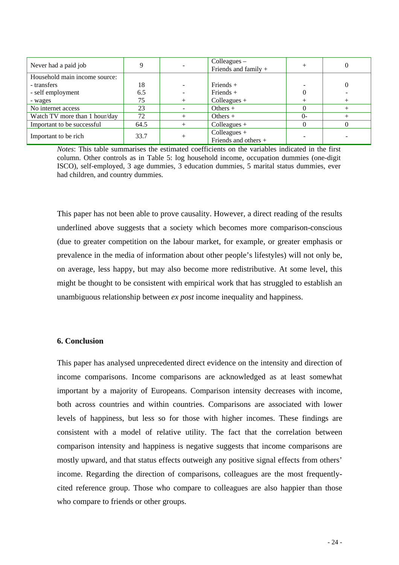| Never had a paid job          |      | $Coll$ eagues $-$<br>Friends and family + |          |  |
|-------------------------------|------|-------------------------------------------|----------|--|
| Household main income source: |      |                                           |          |  |
| - transfers                   | 18   | Friends $+$                               |          |  |
| - self employment             | 6.5  | Friends $+$                               |          |  |
| - wages                       | 75   | Colleagues $+$                            |          |  |
| No internet access            | 23   | Others $+$                                |          |  |
| Watch TV more than 1 hour/day | 72   | Others $+$                                | $\Omega$ |  |
| Important to be successful    | 64.5 | Colleagues $+$                            |          |  |
| Important to be rich          | 33.7 | Colleagues $+$<br>Friends and others +    |          |  |

*Notes*: This table summarises the estimated coefficients on the variables indicated in the first column. Other controls as in Table 5: log household income, occupation dummies (one-digit ISCO), self-employed, 3 age dummies, 3 education dummies, 5 marital status dummies, ever had children, and country dummies.

This paper has not been able to prove causality. However, a direct reading of the results underlined above suggests that a society which becomes more comparison-conscious (due to greater competition on the labour market, for example, or greater emphasis or prevalence in the media of information about other people's lifestyles) will not only be, on average, less happy, but may also become more redistributive. At some level, this might be thought to be consistent with empirical work that has struggled to establish an unambiguous relationship between *ex post* income inequality and happiness.

#### **6. Conclusion**

This paper has analysed unprecedented direct evidence on the intensity and direction of income comparisons. Income comparisons are acknowledged as at least somewhat important by a majority of Europeans. Comparison intensity decreases with income, both across countries and within countries. Comparisons are associated with lower levels of happiness, but less so for those with higher incomes. These findings are consistent with a model of relative utility. The fact that the correlation between comparison intensity and happiness is negative suggests that income comparisons are mostly upward, and that status effects outweigh any positive signal effects from others' income. Regarding the direction of comparisons, colleagues are the most frequentlycited reference group. Those who compare to colleagues are also happier than those who compare to friends or other groups.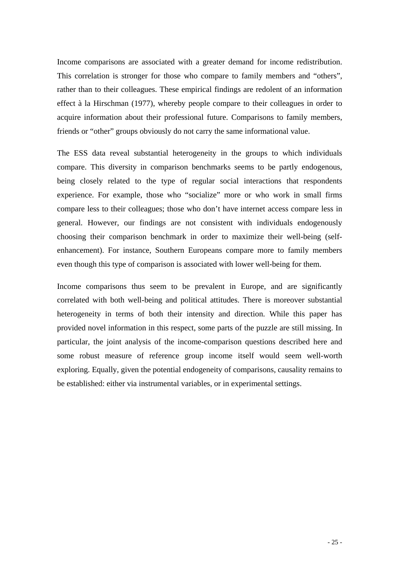Income comparisons are associated with a greater demand for income redistribution. This correlation is stronger for those who compare to family members and "others", rather than to their colleagues. These empirical findings are redolent of an information effect à la Hirschman (1977), whereby people compare to their colleagues in order to acquire information about their professional future. Comparisons to family members, friends or "other" groups obviously do not carry the same informational value.

The ESS data reveal substantial heterogeneity in the groups to which individuals compare. This diversity in comparison benchmarks seems to be partly endogenous, being closely related to the type of regular social interactions that respondents experience. For example, those who "socialize" more or who work in small firms compare less to their colleagues; those who don't have internet access compare less in general. However, our findings are not consistent with individuals endogenously choosing their comparison benchmark in order to maximize their well-being (selfenhancement). For instance, Southern Europeans compare more to family members even though this type of comparison is associated with lower well-being for them.

Income comparisons thus seem to be prevalent in Europe, and are significantly correlated with both well-being and political attitudes. There is moreover substantial heterogeneity in terms of both their intensity and direction. While this paper has provided novel information in this respect, some parts of the puzzle are still missing. In particular, the joint analysis of the income-comparison questions described here and some robust measure of reference group income itself would seem well-worth exploring. Equally, given the potential endogeneity of comparisons, causality remains to be established: either via instrumental variables, or in experimental settings.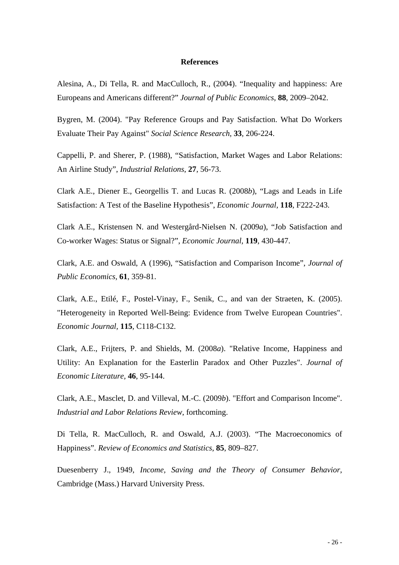#### **References**

Alesina, A., Di Tella, R. and MacCulloch, R., (2004). "Inequality and happiness: Are Europeans and Americans different?" *Journal of Public Economics*, **88**, 2009–2042.

Bygren, M. (2004). "Pay Reference Groups and Pay Satisfaction. What Do Workers Evaluate Their Pay Against" *Social Science Research,* **33**, 206-224.

Cappelli, P. and Sherer, P. (1988), "Satisfaction, Market Wages and Labor Relations: An Airline Study", *Industrial Relations*, **27**, 56-73.

Clark A.E., Diener E., Georgellis T. and Lucas R. (2008*b*), "Lags and Leads in Life Satisfaction: A Test of the Baseline Hypothesis", *Economic Journal,* **118**, F222-243.

Clark A.E., Kristensen N. and Westergård-Nielsen N. (2009*a*), "Job Satisfaction and Co-worker Wages: Status or Signal?", *Economic Journal,* **119**, 430-447.

Clark, A.E. and Oswald, A (1996), "Satisfaction and Comparison Income", *Journal of Public Economics,* **61**, 359-81.

Clark, A.E., Etilé, F., Postel-Vinay, F., Senik, C., and van der Straeten, K. (2005). "Heterogeneity in Reported Well-Being: Evidence from Twelve European Countries". *Economic Journal,* **115**, C118-C132.

Clark, A.E., Frijters, P. and Shields, M. (2008*a*). "Relative Income, Happiness and Utility: An Explanation for the Easterlin Paradox and Other Puzzles". *Journal of Economic Literature,* **46**, 95-144.

Clark, A.E., Masclet, D. and Villeval, M.-C. (2009*b*). "Effort and Comparison Income". *Industrial and Labor Relations Review*, forthcoming.

Di Tella, R. MacCulloch, R. and Oswald, A.J. (2003). "The Macroeconomics of Happiness". *Review of Economics and Statistics*, **85**, 809–827.

Duesenberry J., 1949, *Income, Saving and the Theory of Consumer Behavior*, Cambridge (Mass.) Harvard University Press.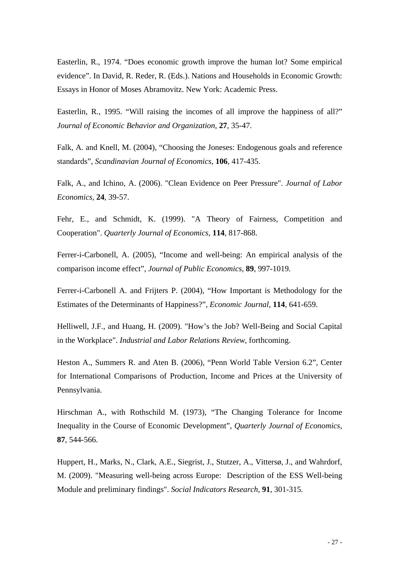Easterlin, R., 1974. "Does economic growth improve the human lot? Some empirical evidence". In David, R. Reder, R. (Eds.). Nations and Households in Economic Growth: Essays in Honor of Moses Abramovitz. New York: Academic Press.

Easterlin, R., 1995. "Will raising the incomes of all improve the happiness of all?" *Journal of Economic Behavior and Organization*, **27**, 35-47.

Falk, A. and Knell, M. (2004), "Choosing the Joneses: Endogenous goals and reference standards", *Scandinavian Journal of Economics*, **106**, 417-435.

Falk, A., and Ichino, A. (2006). "Clean Evidence on Peer Pressure". *Journal of Labor Economics,* **24**, 39-57.

Fehr, E., and Schmidt, K. (1999). "A Theory of Fairness, Competition and Cooperation". *Quarterly Journal of Economics,* **114**, 817-868.

Ferrer-i-Carbonell, A. (2005), "Income and well-being: An empirical analysis of the comparison income effect", *Journal of Public Economics,* **89**, 997-1019.

Ferrer-i-Carbonell A. and Frijters P. (2004), "How Important is Methodology for the Estimates of the Determinants of Happiness?", *Economic Journal*, **114**, 641-659.

Helliwell, J.F., and Huang, H. (2009). "How's the Job? Well-Being and Social Capital in the Workplace". *Industrial and Labor Relations Review*, forthcoming.

Heston A., Summers R. and Aten B. (2006), "Penn World Table Version 6.2", Center for International Comparisons of Production, Income and Prices at the University of Pennsylvania.

Hirschman A., with Rothschild M. (1973), "The Changing Tolerance for Income Inequality in the Course of Economic Development", *Quarterly Journal of Economics,*  **87**, 544-566.

Huppert, H., Marks, N., Clark, A.E., Siegrist, J., Stutzer, A., Vittersø, J., and Wahrdorf, M. (2009). "Measuring well-being across Europe: Description of the ESS Well-being Module and preliminary findings". *Social Indicators Research,* **91**, 301-315.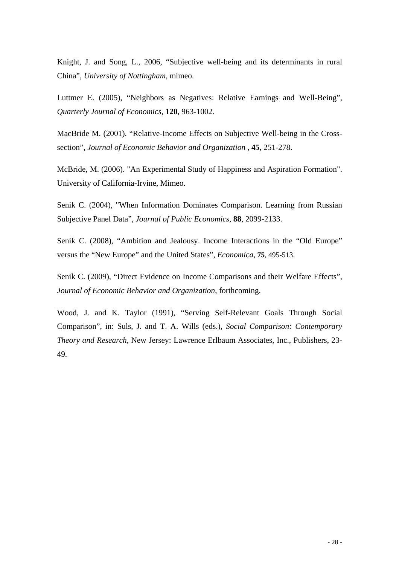Knight, J. and Song, L., 2006, "Subjective well-being and its determinants in rural China", *University of Nottingham*, mimeo.

Luttmer E. (2005), "Neighbors as Negatives: Relative Earnings and Well-Being", *Quarterly Journal of Economics*, **120**, 963-1002.

MacBride M. (2001). ["Relative-Income Effects on Subjective Well-being in the Cross](http://www.economics.uci.edu/~mcbride/RelativeIncomeEffectsSWB_JEBO_2001.pdf)[section](http://www.economics.uci.edu/~mcbride/RelativeIncomeEffectsSWB_JEBO_2001.pdf)", *Journal of Economic Behavior and Organization* , **45**, 251-278.

McBride, M. (2006). "An Experimental Study of Happiness and Aspiration Formation". University of California-Irvine, Mimeo.

Senik C. (2004), "When Information Dominates Comparison. Learning from Russian Subjective Panel Data", *Journal of Public Economics,* **88**, 2099-2133.

Senik C. (2008), "Ambition and Jealousy. Income Interactions in the "Old Europe" versus the "New Europe" and the United States", *Economica*, **75**, 495-513.

Senik C. (2009), "Direct Evidence on Income Comparisons and their Welfare Effects", *Journal of Economic Behavior and Organization*, forthcoming.

Wood, J. and K. Taylor (1991), "Serving Self-Relevant Goals Through Social Comparison", in: Suls, J. and T. A. Wills (eds.), *Social Comparison: Contemporary Theory and Research*, New Jersey: Lawrence Erlbaum Associates, Inc., Publishers, 23- 49.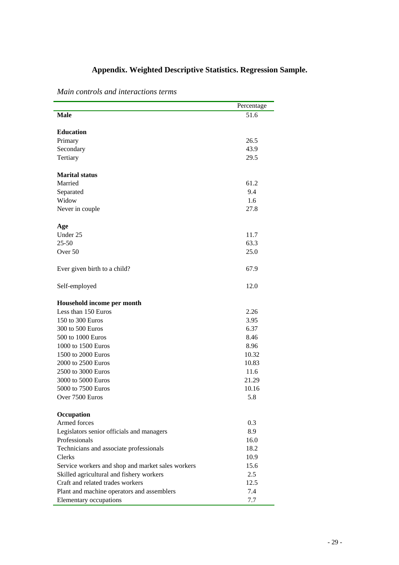# **Appendix. Weighted Descriptive Statistics. Regression Sample.**

|                                                   | Percentage |
|---------------------------------------------------|------------|
| <b>Male</b>                                       | 51.6       |
|                                                   |            |
| <b>Education</b>                                  |            |
| Primary                                           | 26.5       |
| Secondary                                         | 43.9       |
| Tertiary                                          | 29.5       |
| <b>Marital status</b>                             |            |
| Married                                           | 61.2       |
| Separated                                         | 9.4        |
| Widow                                             | 1.6        |
| Never in couple                                   | 27.8       |
| Age                                               |            |
| Under 25                                          | 11.7       |
| $25 - 50$                                         | 63.3       |
| Over <sub>50</sub>                                | 25.0       |
| Ever given birth to a child?                      | 67.9       |
| Self-employed                                     | 12.0       |
| Household income per month                        |            |
| Less than 150 Euros                               | 2.26       |
| 150 to 300 Euros                                  | 3.95       |
| 300 to 500 Euros                                  | 6.37       |
| 500 to 1000 Euros                                 | 8.46       |
| 1000 to 1500 Euros                                | 8.96       |
| 1500 to 2000 Euros                                | 10.32      |
| 2000 to 2500 Euros                                | 10.83      |
| 2500 to 3000 Euros                                | 11.6       |
| 3000 to 5000 Euros                                | 21.29      |
| 5000 to 7500 Euros                                | 10.16      |
| Over 7500 Euros                                   | 5.8        |
| Occupation                                        |            |
| Armed forces                                      | 0.3        |
| Legislators senior officials and managers         | 8.9        |
| Professionals                                     | 16.0       |
| Technicians and associate professionals           | 18.2       |
| <b>Clerks</b>                                     | 10.9       |
| Service workers and shop and market sales workers | 15.6       |
| Skilled agricultural and fishery workers          | 2.5        |
| Craft and related trades workers                  | 12.5       |
| Plant and machine operators and assemblers        | 7.4        |
| Elementary occupations                            | 7.7        |

*Main controls and interactions terms*